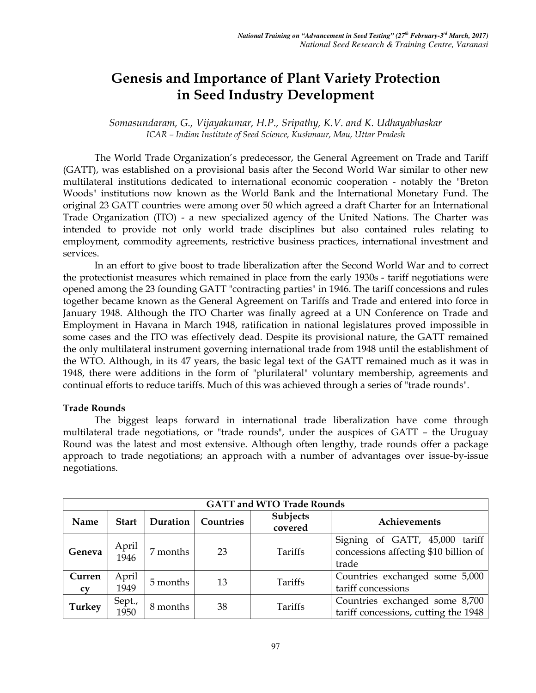# **Genesis and Importance of Plant Variety Protection in Seed Industry Development**

*Somasundaram, G., Vijayakumar, H.P., Sripathy, K.V. and K. Udhayabhaskar ICAR – Indian Institute of Seed Science, Kushmaur, Mau, Uttar Pradesh* 

The World Trade Organization's predecessor, the General Agreement on Trade and Tariff (GATT), was established on a provisional basis after the Second World War similar to other new multilateral institutions dedicated to international economic cooperation - notably the "Breton Woods" institutions now known as the World Bank and the International Monetary Fund. The original 23 GATT countries were among over 50 which agreed a draft Charter for an International Trade Organization (ITO) - a new specialized agency of the United Nations. The Charter was intended to provide not only world trade disciplines but also contained rules relating to employment, commodity agreements, restrictive business practices, international investment and services.

In an effort to give boost to trade liberalization after the Second World War and to correct the protectionist measures which remained in place from the early 1930s - tariff negotiations were opened among the 23 founding GATT "contracting parties" in 1946. The tariff concessions and rules together became known as the General Agreement on Tariffs and Trade and entered into force in January 1948. Although the ITO Charter was finally agreed at a UN Conference on Trade and Employment in Havana in March 1948, ratification in national legislatures proved impossible in some cases and the ITO was effectively dead. Despite its provisional nature, the GATT remained the only multilateral instrument governing international trade from 1948 until the establishment of the WTO. Although, in its 47 years, the basic legal text of the GATT remained much as it was in 1948, there were additions in the form of "plurilateral" voluntary membership, agreements and continual efforts to reduce tariffs. Much of this was achieved through a series of "trade rounds".

#### **Trade Rounds**

 The biggest leaps forward in international trade liberalization have come through multilateral trade negotiations, or "trade rounds", under the auspices of GATT – the Uruguay Round was the latest and most extensive. Although often lengthy, trade rounds offer a package approach to trade negotiations; an approach with a number of advantages over issue-by-issue negotiations.

| <b>GATT and WTO Trade Rounds</b> |                |          |           |                     |                                                                                  |  |  |
|----------------------------------|----------------|----------|-----------|---------------------|----------------------------------------------------------------------------------|--|--|
| Name                             | <b>Start</b>   | Duration | Countries | Subjects<br>covered | Achievements                                                                     |  |  |
| Geneva                           | April<br>1946  | 7 months | 23        | Tariffs             | Signing of GATT, 45,000 tariff<br>concessions affecting \$10 billion of<br>trade |  |  |
| Curren<br><b>CV</b>              | April<br>1949  | 5 months | 13        | Tariffs             | Countries exchanged some 5,000<br>tariff concessions                             |  |  |
| <b>Turkey</b>                    | Sept.,<br>1950 | 8 months | 38        | Tariffs             | Countries exchanged some 8,700<br>tariff concessions, cutting the 1948           |  |  |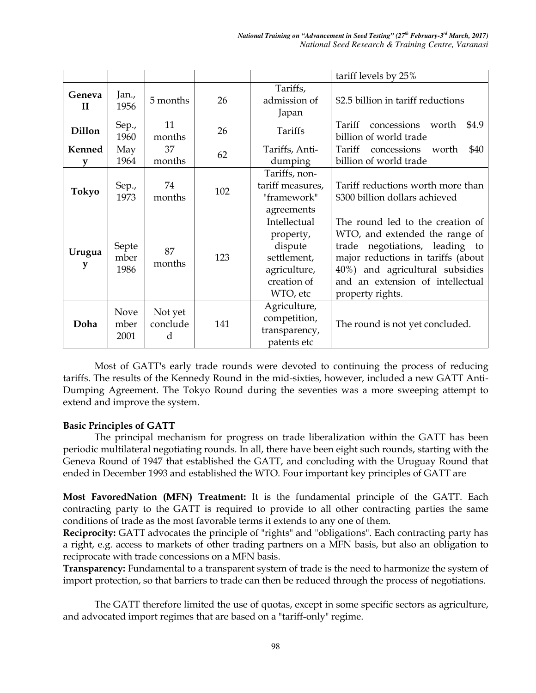|                        |                             |                          |     |                                                                                                | tariff levels by 25%                                                                                                                                                                                                                  |
|------------------------|-----------------------------|--------------------------|-----|------------------------------------------------------------------------------------------------|---------------------------------------------------------------------------------------------------------------------------------------------------------------------------------------------------------------------------------------|
| Geneva<br>$\mathbf{H}$ | Jan.,<br>1956               | 5 months                 | 26  | Tariffs,<br>admission of<br>Japan                                                              | \$2.5 billion in tariff reductions                                                                                                                                                                                                    |
| <b>Dillon</b>          | Sep.,<br>1960               | 11<br>months             | 26  | Tariffs                                                                                        | Tariff<br>concessions<br>\$4.9<br>worth<br>billion of world trade                                                                                                                                                                     |
| Kenned                 | May<br>1964                 | 37<br>months             | 62  | Tariffs, Anti-<br>dumping                                                                      | \$40<br>Tariff<br>concessions<br>worth<br>billion of world trade                                                                                                                                                                      |
| <b>Tokyo</b>           | Sep.,<br>1973               | 74<br>months             | 102 | Tariffs, non-<br>tariff measures,<br>"framework"<br>agreements                                 | Tariff reductions worth more than<br>\$300 billion dollars achieved                                                                                                                                                                   |
| Urugua<br>у            | Septe<br>mber<br>1986       | 87<br>months             | 123 | Intellectual<br>property,<br>dispute<br>settlement,<br>agriculture,<br>creation of<br>WTO, etc | The round led to the creation of<br>WTO, and extended the range of<br>trade negotiations, leading to<br>major reductions in tariffs (about<br>40%) and agricultural subsidies<br>and an extension of intellectual<br>property rights. |
| Doha                   | <b>Nove</b><br>mber<br>2001 | Not yet<br>conclude<br>d | 141 | Agriculture,<br>competition,<br>transparency,<br>patents etc                                   | The round is not yet concluded.                                                                                                                                                                                                       |

Most of GATT's early trade rounds were devoted to continuing the process of reducing tariffs. The results of the Kennedy Round in the mid-sixties, however, included a new GATT Anti-Dumping Agreement. The Tokyo Round during the seventies was a more sweeping attempt to extend and improve the system.

# **Basic Principles of GATT**

The principal mechanism for progress on trade liberalization within the GATT has been periodic multilateral negotiating rounds. In all, there have been eight such rounds, starting with the Geneva Round of 1947 that established the GATT, and concluding with the Uruguay Round that ended in December 1993 and established the WTO. Four important key principles of GATT are

**Most FavoredNation (MFN) Treatment:** It is the fundamental principle of the GATT. Each contracting party to the GATT is required to provide to all other contracting parties the same conditions of trade as the most favorable terms it extends to any one of them.

**Reciprocity:** GATT advocates the principle of "rights" and "obligations". Each contracting party has a right, e.g. access to markets of other trading partners on a MFN basis, but also an obligation to reciprocate with trade concessions on a MFN basis.

**Transparency:** Fundamental to a transparent system of trade is the need to harmonize the system of import protection, so that barriers to trade can then be reduced through the process of negotiations.

The GATT therefore limited the use of quotas, except in some specific sectors as agriculture, and advocated import regimes that are based on a "tariff-only" regime.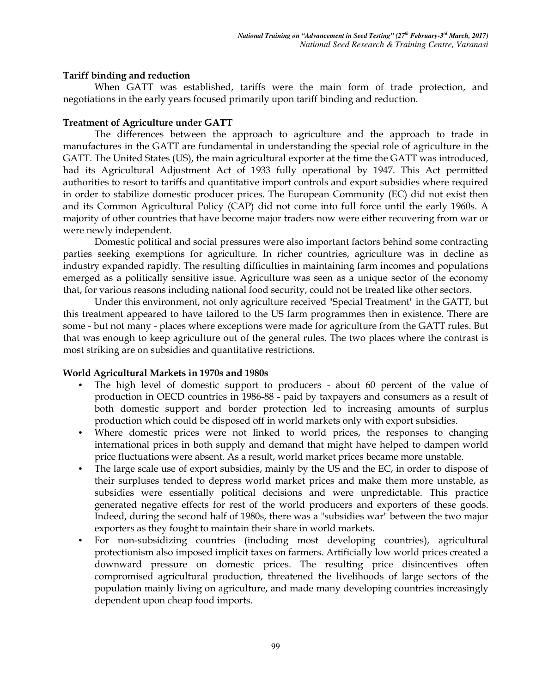#### **Tariff binding and reduction**

When GATT was established, tariffs were the main form of trade protection, and negotiations in the early years focused primarily upon tariff binding and reduction.

#### **Treatment of Agriculture under GATT**

The differences between the approach to agriculture and the approach to trade in manufactures in the GATT are fundamental in understanding the special role of agriculture in the GATT. The United States (US), the main agricultural exporter at the time the GATT was introduced, had its Agricultural Adjustment Act of 1933 fully operational by 1947. This Act permitted authorities to resort to tariffs and quantitative import controls and export subsidies where required in order to stabilize domestic producer prices. The European Community (EC) did not exist then and its Common Agricultural Policy (CAP) did not come into full force until the early 1960s. A majority of other countries that have become major traders now were either recovering from war or were newly independent.

Domestic political and social pressures were also important factors behind some contracting parties seeking exemptions for agriculture. In richer countries, agriculture was in decline as industry expanded rapidly. The resulting difficulties in maintaining farm incomes and populations emerged as a politically sensitive issue. Agriculture was seen as a unique sector of the economy that, for various reasons including national food security, could not be treated like other sectors.

Under this environment, not only agriculture received "Special Treatment" in the GATT, but this treatment appeared to have tailored to the US farm programmes then in existence. There are some - but not many - places where exceptions were made for agriculture from the GATT rules. But that was enough to keep agriculture out of the general rules. The two places where the contrast is most striking are on subsidies and quantitative restrictions.

#### **World Agricultural Markets in 1970s and 1980s**

- The high level of domestic support to producers about 60 percent of the value of production in OECD countries in 1986-88 - paid by taxpayers and consumers as a result of both domestic support and border protection led to increasing amounts of surplus production which could be disposed off in world markets only with export subsidies.
- Where domestic prices were not linked to world prices, the responses to changing international prices in both supply and demand that might have helped to dampen world price fluctuations were absent. As a result, world market prices became more unstable.
- The large scale use of export subsidies, mainly by the US and the EC, in order to dispose of their surpluses tended to depress world market prices and make them more unstable, as subsidies were essentially political decisions and were unpredictable. This practice generated negative effects for rest of the world producers and exporters of these goods. Indeed, during the second half of 1980s, there was a "subsidies war" between the two major exporters as they fought to maintain their share in world markets.
- For non-subsidizing countries (including most developing countries), agricultural protectionism also imposed implicit taxes on farmers. Artificially low world prices created a downward pressure on domestic prices. The resulting price disincentives often compromised agricultural production, threatened the livelihoods of large sectors of the population mainly living on agriculture, and made many developing countries increasingly dependent upon cheap food imports.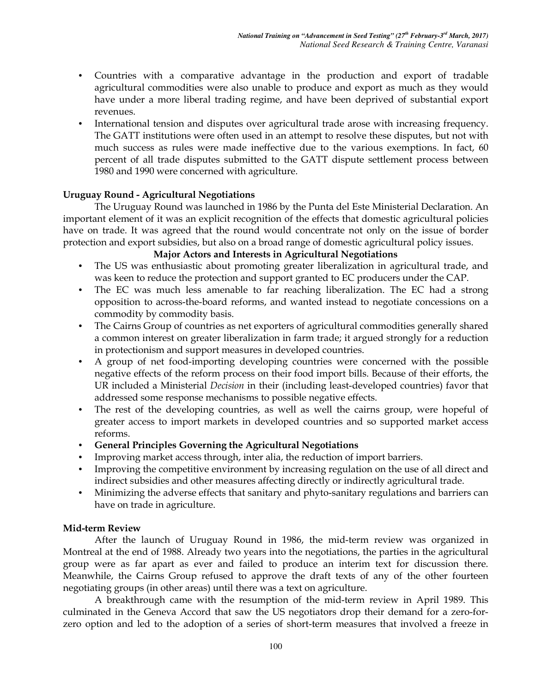- Countries with a comparative advantage in the production and export of tradable agricultural commodities were also unable to produce and export as much as they would have under a more liberal trading regime, and have been deprived of substantial export revenues.
- International tension and disputes over agricultural trade arose with increasing frequency. The GATT institutions were often used in an attempt to resolve these disputes, but not with much success as rules were made ineffective due to the various exemptions. In fact, 60 percent of all trade disputes submitted to the GATT dispute settlement process between 1980 and 1990 were concerned with agriculture.

#### **Uruguay Round - Agricultural Negotiations**

The Uruguay Round was launched in 1986 by the Punta del Este Ministerial Declaration. An important element of it was an explicit recognition of the effects that domestic agricultural policies have on trade. It was agreed that the round would concentrate not only on the issue of border protection and export subsidies, but also on a broad range of domestic agricultural policy issues.

#### **Major Actors and Interests in Agricultural Negotiations**

- The US was enthusiastic about promoting greater liberalization in agricultural trade, and was keen to reduce the protection and support granted to EC producers under the CAP.
- The EC was much less amenable to far reaching liberalization. The EC had a strong opposition to across-the-board reforms, and wanted instead to negotiate concessions on a commodity by commodity basis.
- The Cairns Group of countries as net exporters of agricultural commodities generally shared a common interest on greater liberalization in farm trade; it argued strongly for a reduction in protectionism and support measures in developed countries.
- A group of net food-importing developing countries were concerned with the possible negative effects of the reform process on their food import bills. Because of their efforts, the UR included a Ministerial *Decision* in their (including least-developed countries) favor that addressed some response mechanisms to possible negative effects.
- The rest of the developing countries, as well as well the cairns group, were hopeful of greater access to import markets in developed countries and so supported market access reforms.
- **General Principles Governing the Agricultural Negotiations**
- Improving market access through, inter alia, the reduction of import barriers.
- Improving the competitive environment by increasing regulation on the use of all direct and indirect subsidies and other measures affecting directly or indirectly agricultural trade.
- Minimizing the adverse effects that sanitary and phyto-sanitary regulations and barriers can have on trade in agriculture.

# **Mid-term Review**

After the launch of Uruguay Round in 1986, the mid-term review was organized in Montreal at the end of 1988. Already two years into the negotiations, the parties in the agricultural group were as far apart as ever and failed to produce an interim text for discussion there. Meanwhile, the Cairns Group refused to approve the draft texts of any of the other fourteen negotiating groups (in other areas) until there was a text on agriculture.

A breakthrough came with the resumption of the mid-term review in April 1989. This culminated in the Geneva Accord that saw the US negotiators drop their demand for a zero-forzero option and led to the adoption of a series of short-term measures that involved a freeze in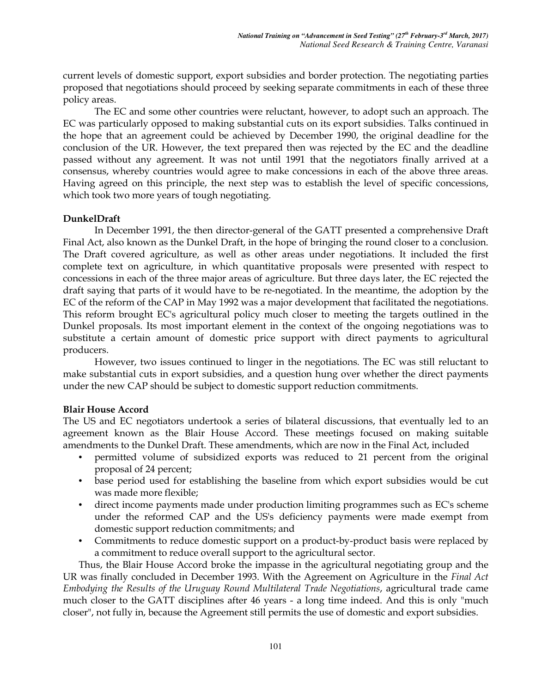current levels of domestic support, export subsidies and border protection. The negotiating parties proposed that negotiations should proceed by seeking separate commitments in each of these three policy areas.

The EC and some other countries were reluctant, however, to adopt such an approach. The EC was particularly opposed to making substantial cuts on its export subsidies. Talks continued in the hope that an agreement could be achieved by December 1990, the original deadline for the conclusion of the UR. However, the text prepared then was rejected by the EC and the deadline passed without any agreement. It was not until 1991 that the negotiators finally arrived at a consensus, whereby countries would agree to make concessions in each of the above three areas. Having agreed on this principle, the next step was to establish the level of specific concessions, which took two more years of tough negotiating.

#### **DunkelDraft**

In December 1991, the then director-general of the GATT presented a comprehensive Draft Final Act, also known as the Dunkel Draft, in the hope of bringing the round closer to a conclusion. The Draft covered agriculture, as well as other areas under negotiations. It included the first complete text on agriculture, in which quantitative proposals were presented with respect to concessions in each of the three major areas of agriculture. But three days later, the EC rejected the draft saying that parts of it would have to be re-negotiated. In the meantime, the adoption by the EC of the reform of the CAP in May 1992 was a major development that facilitated the negotiations. This reform brought EC's agricultural policy much closer to meeting the targets outlined in the Dunkel proposals. Its most important element in the context of the ongoing negotiations was to substitute a certain amount of domestic price support with direct payments to agricultural producers.

However, two issues continued to linger in the negotiations. The EC was still reluctant to make substantial cuts in export subsidies, and a question hung over whether the direct payments under the new CAP should be subject to domestic support reduction commitments.

# **Blair House Accord**

The US and EC negotiators undertook a series of bilateral discussions, that eventually led to an agreement known as the Blair House Accord. These meetings focused on making suitable amendments to the Dunkel Draft. These amendments, which are now in the Final Act, included

- permitted volume of subsidized exports was reduced to 21 percent from the original proposal of 24 percent;
- base period used for establishing the baseline from which export subsidies would be cut was made more flexible;
- direct income payments made under production limiting programmes such as EC's scheme under the reformed CAP and the US's deficiency payments were made exempt from domestic support reduction commitments; and
- Commitments to reduce domestic support on a product-by-product basis were replaced by a commitment to reduce overall support to the agricultural sector.

Thus, the Blair House Accord broke the impasse in the agricultural negotiating group and the UR was finally concluded in December 1993. With the Agreement on Agriculture in the *Final Act Embodying the Results of the Uruguay Round Multilateral Trade Negotiations*, agricultural trade came much closer to the GATT disciplines after 46 years - a long time indeed. And this is only "much closer", not fully in, because the Agreement still permits the use of domestic and export subsidies.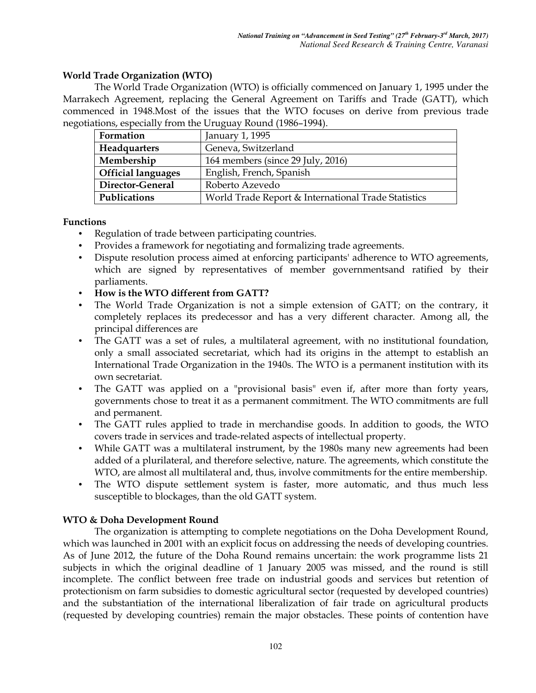# **World Trade Organization (WTO)**

The World Trade Organization (WTO) is officially commenced on January 1, 1995 under the Marrakech Agreement, replacing the General Agreement on Tariffs and Trade (GATT), which commenced in 1948.Most of the issues that the WTO focuses on derive from previous trade negotiations, especially from the Uruguay Round (1986–1994).

| Formation                 | January 1, 1995                                     |  |  |
|---------------------------|-----------------------------------------------------|--|--|
| Headquarters              | Geneva, Switzerland                                 |  |  |
| Membership                | 164 members (since 29 July, 2016)                   |  |  |
| <b>Official languages</b> | English, French, Spanish                            |  |  |
| Director-General          | Roberto Azevedo                                     |  |  |
| Publications              | World Trade Report & International Trade Statistics |  |  |

#### **Functions**

- Regulation of trade between participating countries.
- Provides a framework for negotiating and formalizing trade agreements.
- Dispute resolution process aimed at enforcing participants' adherence to WTO agreements, which are signed by representatives of member governmentsand ratified by their parliaments.
- **How is the WTO different from GATT?**
- The World Trade Organization is not a simple extension of GATT; on the contrary, it completely replaces its predecessor and has a very different character. Among all, the principal differences are
- The GATT was a set of rules, a multilateral agreement, with no institutional foundation, only a small associated secretariat, which had its origins in the attempt to establish an International Trade Organization in the 1940s. The WTO is a permanent institution with its own secretariat.
- The GATT was applied on a "provisional basis" even if, after more than forty years, governments chose to treat it as a permanent commitment. The WTO commitments are full and permanent.
- The GATT rules applied to trade in merchandise goods. In addition to goods, the WTO covers trade in services and trade-related aspects of intellectual property.
- While GATT was a multilateral instrument, by the 1980s many new agreements had been added of a plurilateral, and therefore selective, nature. The agreements, which constitute the WTO, are almost all multilateral and, thus, involve commitments for the entire membership.
- The WTO dispute settlement system is faster, more automatic, and thus much less susceptible to blockages, than the old GATT system.

# **WTO & Doha Development Round**

The organization is attempting to complete negotiations on the Doha Development Round, which was launched in 2001 with an explicit focus on addressing the needs of developing countries. As of June 2012, the future of the Doha Round remains uncertain: the work programme lists 21 subjects in which the original deadline of 1 January 2005 was missed, and the round is still incomplete. The conflict between free trade on industrial goods and services but retention of protectionism on farm subsidies to domestic agricultural sector (requested by developed countries) and the substantiation of the international liberalization of fair trade on agricultural products (requested by developing countries) remain the major obstacles. These points of contention have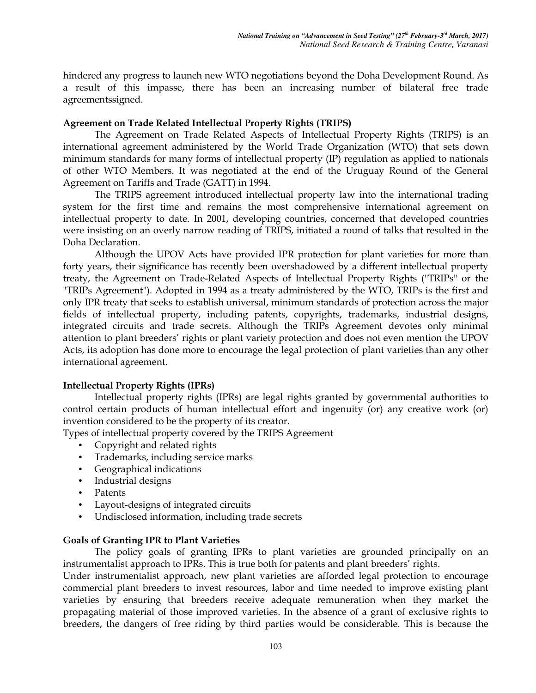hindered any progress to launch new WTO negotiations beyond the Doha Development Round. As a result of this impasse, there has been an increasing number of bilateral free trade agreementssigned.

#### **Agreement on Trade Related Intellectual Property Rights (TRIPS)**

 The Agreement on Trade Related Aspects of Intellectual Property Rights (TRIPS) is an international agreement administered by the World Trade Organization (WTO) that sets down minimum standards for many forms of intellectual property (IP) regulation as applied to nationals of other WTO Members. It was negotiated at the end of the Uruguay Round of the General Agreement on Tariffs and Trade (GATT) in 1994.

The TRIPS agreement introduced intellectual property law into the international trading system for the first time and remains the most comprehensive international agreement on intellectual property to date. In 2001, developing countries, concerned that developed countries were insisting on an overly narrow reading of TRIPS, initiated a round of talks that resulted in the Doha Declaration.

Although the UPOV Acts have provided IPR protection for plant varieties for more than forty years, their significance has recently been overshadowed by a different intellectual property treaty, the Agreement on Trade-Related Aspects of Intellectual Property Rights ("TRIPs" or the "TRIPs Agreement"). Adopted in 1994 as a treaty administered by the WTO, TRIPs is the first and only IPR treaty that seeks to establish universal, minimum standards of protection across the major fields of intellectual property, including patents, copyrights, trademarks, industrial designs, integrated circuits and trade secrets. Although the TRIPs Agreement devotes only minimal attention to plant breeders' rights or plant variety protection and does not even mention the UPOV Acts, its adoption has done more to encourage the legal protection of plant varieties than any other international agreement.

# **Intellectual Property Rights (IPRs)**

Intellectual property rights (IPRs) are legal rights granted by governmental authorities to control certain products of human intellectual effort and ingenuity (or) any creative work (or) invention considered to be the property of its creator.

Types of intellectual property covered by the TRIPS Agreement

- Copyright and related rights
- Trademarks, including service marks
- Geographical indications
- Industrial designs
- Patents
- Layout-designs of integrated circuits
- Undisclosed information, including trade secrets

#### **Goals of Granting IPR to Plant Varieties**

The policy goals of granting IPRs to plant varieties are grounded principally on an instrumentalist approach to IPRs. This is true both for patents and plant breeders' rights.

Under instrumentalist approach, new plant varieties are afforded legal protection to encourage commercial plant breeders to invest resources, labor and time needed to improve existing plant varieties by ensuring that breeders receive adequate remuneration when they market the propagating material of those improved varieties. In the absence of a grant of exclusive rights to breeders, the dangers of free riding by third parties would be considerable. This is because the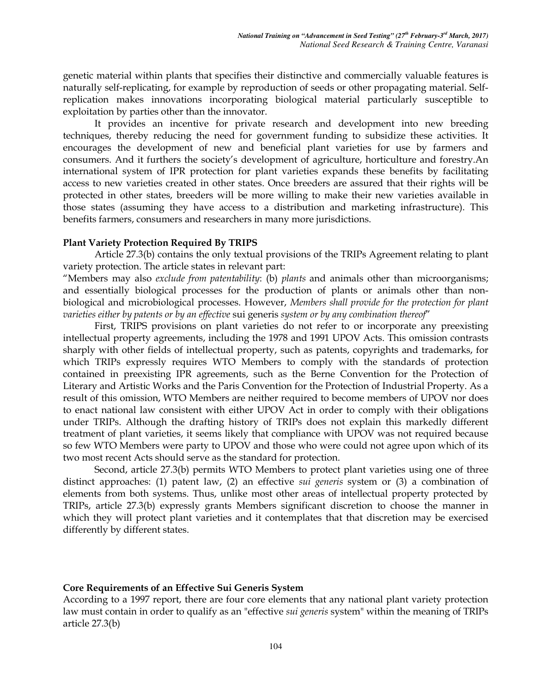genetic material within plants that specifies their distinctive and commercially valuable features is naturally self-replicating, for example by reproduction of seeds or other propagating material. Selfreplication makes innovations incorporating biological material particularly susceptible to exploitation by parties other than the innovator.

It provides an incentive for private research and development into new breeding techniques, thereby reducing the need for government funding to subsidize these activities. It encourages the development of new and beneficial plant varieties for use by farmers and consumers. And it furthers the society's development of agriculture, horticulture and forestry.An international system of IPR protection for plant varieties expands these benefits by facilitating access to new varieties created in other states. Once breeders are assured that their rights will be protected in other states, breeders will be more willing to make their new varieties available in those states (assuming they have access to a distribution and marketing infrastructure). This benefits farmers, consumers and researchers in many more jurisdictions.

#### **Plant Variety Protection Required By TRIPS**

Article 27.3(b) contains the only textual provisions of the TRIPs Agreement relating to plant variety protection. The article states in relevant part:

"Members may also *exclude from patentability*: (b) *plants* and animals other than microorganisms; and essentially biological processes for the production of plants or animals other than nonbiological and microbiological processes. However, *Members shall provide for the protection for plant varieties either by patents or by an effective* sui generis *system or by any combination thereof*"

First, TRIPS provisions on plant varieties do not refer to or incorporate any preexisting intellectual property agreements, including the 1978 and 1991 UPOV Acts. This omission contrasts sharply with other fields of intellectual property, such as patents, copyrights and trademarks, for which TRIPs expressly requires WTO Members to comply with the standards of protection contained in preexisting IPR agreements, such as the Berne Convention for the Protection of Literary and Artistic Works and the Paris Convention for the Protection of Industrial Property. As a result of this omission, WTO Members are neither required to become members of UPOV nor does to enact national law consistent with either UPOV Act in order to comply with their obligations under TRIPs. Although the drafting history of TRIPs does not explain this markedly different treatment of plant varieties, it seems likely that compliance with UPOV was not required because so few WTO Members were party to UPOV and those who were could not agree upon which of its two most recent Acts should serve as the standard for protection.

Second, article 27.3(b) permits WTO Members to protect plant varieties using one of three distinct approaches: (1) patent law, (2) an effective *sui generis* system or (3) a combination of elements from both systems. Thus, unlike most other areas of intellectual property protected by TRIPs, article 27.3(b) expressly grants Members significant discretion to choose the manner in which they will protect plant varieties and it contemplates that that discretion may be exercised differently by different states.

# **Core Requirements of an Effective Sui Generis System**

According to a 1997 report, there are four core elements that any national plant variety protection law must contain in order to qualify as an "effective *sui generis* system" within the meaning of TRIPs article 27.3(b)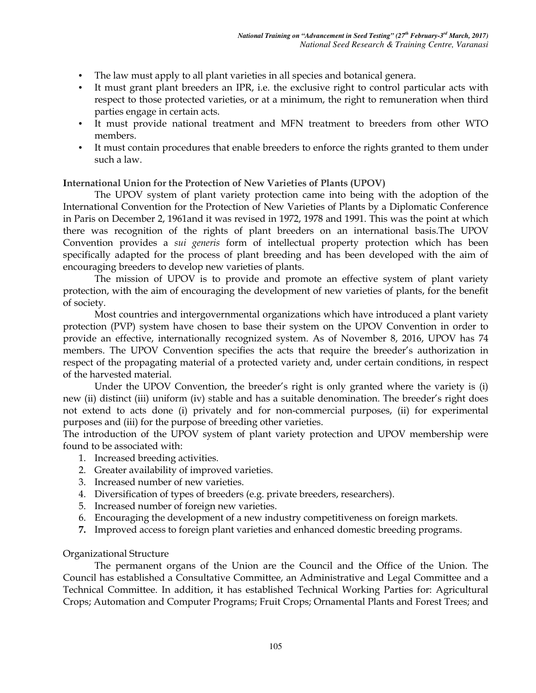- The law must apply to all plant varieties in all species and botanical genera.
- It must grant plant breeders an IPR, i.e. the exclusive right to control particular acts with respect to those protected varieties, or at a minimum, the right to remuneration when third parties engage in certain acts.
- It must provide national treatment and MFN treatment to breeders from other WTO members.
- It must contain procedures that enable breeders to enforce the rights granted to them under such a law.

# **International Union for the Protection of New Varieties of Plants (UPOV)**

The UPOV system of plant variety protection came into being with the adoption of the International Convention for the Protection of New Varieties of Plants by a Diplomatic Conference in Paris on December 2, 1961and it was revised in 1972, 1978 and 1991. This was the point at which there was recognition of the rights of plant breeders on an international basis.The UPOV Convention provides a *sui generis* form of intellectual property protection which has been specifically adapted for the process of plant breeding and has been developed with the aim of encouraging breeders to develop new varieties of plants.

The mission of UPOV is to provide and promote an effective system of plant variety protection, with the aim of encouraging the development of new varieties of plants, for the benefit of society.

Most countries and intergovernmental organizations which have introduced a plant variety protection (PVP) system have chosen to base their system on the UPOV Convention in order to provide an effective, internationally recognized system. As of November 8, 2016, UPOV has 74 members. The UPOV Convention specifies the acts that require the breeder's authorization in respect of the propagating material of a protected variety and, under certain conditions, in respect of the harvested material.

Under the UPOV Convention, the breeder's right is only granted where the variety is (i) new (ii) distinct (iii) uniform (iv) stable and has a suitable denomination. The breeder's right does not extend to acts done (i) privately and for non-commercial purposes, (ii) for experimental purposes and (iii) for the purpose of breeding other varieties.

The introduction of the UPOV system of plant variety protection and UPOV membership were found to be associated with:

- 1. Increased breeding activities.
- 2. Greater availability of improved varieties.
- 3. Increased number of new varieties.
- 4. Diversification of types of breeders (e.g. private breeders, researchers).
- 5. Increased number of foreign new varieties.
- 6. Encouraging the development of a new industry competitiveness on foreign markets.
- **7.** Improved access to foreign plant varieties and enhanced domestic breeding programs.

# Organizational Structure

The permanent organs of the Union are the Council and the Office of the Union. The Council has established a Consultative Committee, an Administrative and Legal Committee and a Technical Committee. In addition, it has established Technical Working Parties for: Agricultural Crops; Automation and Computer Programs; Fruit Crops; Ornamental Plants and Forest Trees; and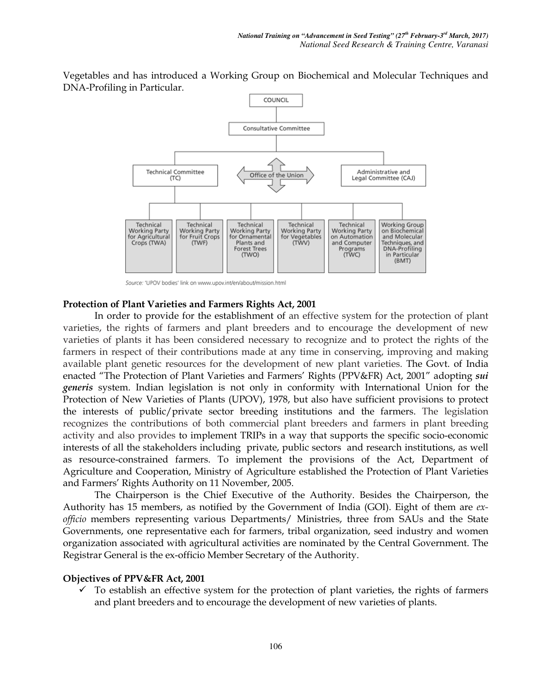Vegetables and has introduced a Working Group on Biochemical and Molecular Techniques and DNA-Profiling in Particular.



Source: 'UPOV bodies' link on www.upov.int/en/about/mission.html

#### **Protection of Plant Varieties and Farmers Rights Act, 2001**

In order to provide for the establishment of an effective system for the protection of plant varieties, the rights of farmers and plant breeders and to encourage the development of new varieties of plants it has been considered necessary to recognize and to protect the rights of the farmers in respect of their contributions made at any time in conserving, improving and making available plant genetic resources for the development of new plant varieties. The Govt. of India enacted "The Protection of Plant Varieties and Farmers' Rights (PPV&FR) Act, 2001" adopting *sui generis* system. Indian legislation is not only in conformity with International Union for the Protection of New Varieties of Plants (UPOV), 1978, but also have sufficient provisions to protect the interests of public/private sector breeding institutions and the farmers. The legislation recognizes the contributions of both commercial plant breeders and farmers in plant breeding activity and also provides to implement TRIPs in a way that supports the specific socio-economic interests of all the stakeholders including private, public sectors and research institutions, as well as resource-constrained farmers. To implement the provisions of the Act, Department of Agriculture and Cooperation, Ministry of Agriculture established the Protection of Plant Varieties and Farmers' Rights Authority on 11 November, 2005.

The Chairperson is the Chief Executive of the Authority. Besides the Chairperson, the Authority has 15 members, as notified by the Government of India (GOI). Eight of them are *exofficio* members representing various Departments/ Ministries, three from SAUs and the State Governments, one representative each for farmers, tribal organization, seed industry and women organization associated with agricultural activities are nominated by the Central Government. The Registrar General is the ex-officio Member Secretary of the Authority.

#### **Objectives of PPV&FR Act, 2001**

 $\checkmark$  To establish an effective system for the protection of plant varieties, the rights of farmers and plant breeders and to encourage the development of new varieties of plants.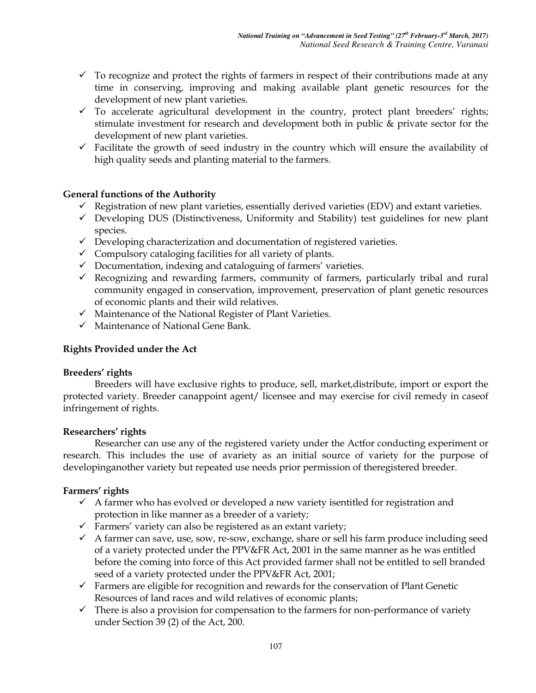- $\checkmark$  To recognize and protect the rights of farmers in respect of their contributions made at any time in conserving, improving and making available plant genetic resources for the development of new plant varieties.
- $\checkmark$  To accelerate agricultural development in the country, protect plant breeders' rights; stimulate investment for research and development both in public & private sector for the development of new plant varieties.
- $\checkmark$  Facilitate the growth of seed industry in the country which will ensure the availability of high quality seeds and planting material to the farmers.

# **General functions of the Authority**

- $\checkmark$  Registration of new plant varieties, essentially derived varieties (EDV) and extant varieties.
- $\checkmark$  Developing DUS (Distinctiveness, Uniformity and Stability) test guidelines for new plant species.
- $\checkmark$  Developing characterization and documentation of registered varieties.
- $\checkmark$  Compulsory cataloging facilities for all variety of plants.
- Documentation, indexing and cataloguing of farmers' varieties.
- $\checkmark$  Recognizing and rewarding farmers, community of farmers, particularly tribal and rural community engaged in conservation, improvement, preservation of plant genetic resources of economic plants and their wild relatives.
- $\checkmark$  Maintenance of the National Register of Plant Varieties.
- $\checkmark$  Maintenance of National Gene Bank.

# **Rights Provided under the Act**

# **Breeders' rights**

Breeders will have exclusive rights to produce, sell, market,distribute, import or export the protected variety. Breeder canappoint agent/ licensee and may exercise for civil remedy in caseof infringement of rights.

# **Researchers' rights**

Researcher can use any of the registered variety under the Actfor conducting experiment or research. This includes the use of avariety as an initial source of variety for the purpose of developinganother variety but repeated use needs prior permission of theregistered breeder.

# **Farmers' rights**

- $\checkmark$  A farmer who has evolved or developed a new variety isentitled for registration and protection in like manner as a breeder of a variety;
- $\checkmark$  Farmers' variety can also be registered as an extant variety;
- $\checkmark$  A farmer can save, use, sow, re-sow, exchange, share or sell his farm produce including seed of a variety protected under the PPV&FR Act, 2001 in the same manner as he was entitled before the coming into force of this Act provided farmer shall not be entitled to sell branded seed of a variety protected under the PPV&FR Act, 2001;
- $\checkmark$  Farmers are eligible for recognition and rewards for the conservation of Plant Genetic Resources of land races and wild relatives of economic plants;
- $\checkmark$  There is also a provision for compensation to the farmers for non-performance of variety under Section 39 (2) of the Act, 200.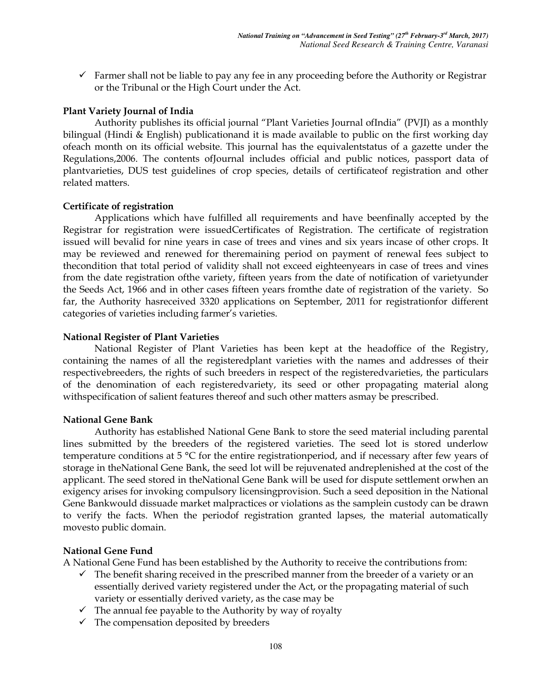$\checkmark$  Farmer shall not be liable to pay any fee in any proceeding before the Authority or Registrar or the Tribunal or the High Court under the Act.

#### **Plant Variety Journal of India**

Authority publishes its official journal "Plant Varieties Journal ofIndia" (PVJI) as a monthly bilingual (Hindi & English) publicationand it is made available to public on the first working day ofeach month on its official website. This journal has the equivalentstatus of a gazette under the Regulations,2006. The contents ofJournal includes official and public notices, passport data of plantvarieties, DUS test guidelines of crop species, details of certificateof registration and other related matters.

#### **Certificate of registration**

Applications which have fulfilled all requirements and have beenfinally accepted by the Registrar for registration were issuedCertificates of Registration. The certificate of registration issued will bevalid for nine years in case of trees and vines and six years incase of other crops. It may be reviewed and renewed for theremaining period on payment of renewal fees subject to thecondition that total period of validity shall not exceed eighteenyears in case of trees and vines from the date registration ofthe variety, fifteen years from the date of notification of varietyunder the Seeds Act, 1966 and in other cases fifteen years fromthe date of registration of the variety. So far, the Authority hasreceived 3320 applications on September, 2011 for registrationfor different categories of varieties including farmer's varieties.

#### **National Register of Plant Varieties**

National Register of Plant Varieties has been kept at the headoffice of the Registry, containing the names of all the registeredplant varieties with the names and addresses of their respectivebreeders, the rights of such breeders in respect of the registeredvarieties, the particulars of the denomination of each registeredvariety, its seed or other propagating material along withspecification of salient features thereof and such other matters asmay be prescribed.

#### **National Gene Bank**

Authority has established National Gene Bank to store the seed material including parental lines submitted by the breeders of the registered varieties. The seed lot is stored underlow temperature conditions at 5 °C for the entire registrationperiod, and if necessary after few years of storage in theNational Gene Bank, the seed lot will be rejuvenated andreplenished at the cost of the applicant. The seed stored in theNational Gene Bank will be used for dispute settlement orwhen an exigency arises for invoking compulsory licensingprovision. Such a seed deposition in the National Gene Bankwould dissuade market malpractices or violations as the samplein custody can be drawn to verify the facts. When the periodof registration granted lapses, the material automatically movesto public domain.

#### **National Gene Fund**

A National Gene Fund has been established by the Authority to receive the contributions from:

- $\checkmark$  The benefit sharing received in the prescribed manner from the breeder of a variety or an essentially derived variety registered under the Act, or the propagating material of such variety or essentially derived variety, as the case may be
- $\checkmark$  The annual fee payable to the Authority by way of royalty
- $\checkmark$  The compensation deposited by breeders